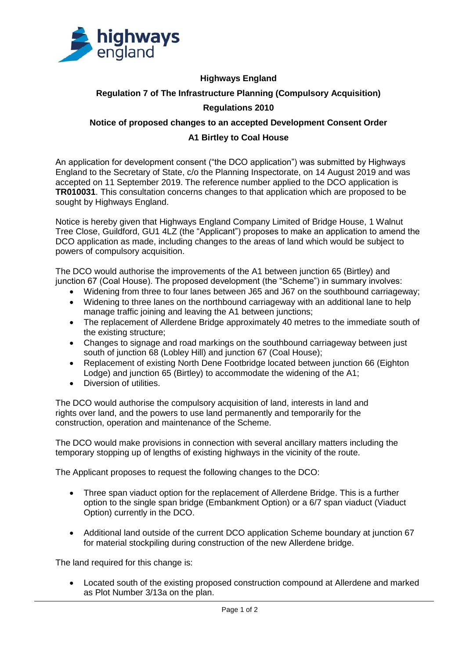

## **Highways England Regulation 7 of The Infrastructure Planning (Compulsory Acquisition) Regulations 2010**

## **Notice of proposed changes to an accepted Development Consent Order A1 Birtley to Coal House**

An application for development consent ("the DCO application") was submitted by Highways England to the Secretary of State, c/o the Planning Inspectorate, on 14 August 2019 and was accepted on 11 September 2019. The reference number applied to the DCO application is **TR010031**. This consultation concerns changes to that application which are proposed to be sought by Highways England.

Notice is hereby given that Highways England Company Limited of Bridge House, 1 Walnut Tree Close, Guildford, GU1 4LZ (the "Applicant") proposes to make an application to amend the DCO application as made, including changes to the areas of land which would be subject to powers of compulsory acquisition.

The DCO would authorise the improvements of the A1 between junction 65 (Birtley) and junction 67 (Coal House). The proposed development (the "Scheme") in summary involves:

- Widening from three to four lanes between J65 and J67 on the southbound carriageway;
- Widening to three lanes on the northbound carriageway with an additional lane to help manage traffic joining and leaving the A1 between junctions;
- The replacement of Allerdene Bridge approximately 40 metres to the immediate south of the existing structure;
- Changes to signage and road markings on the southbound carriageway between just south of junction 68 (Lobley Hill) and junction 67 (Coal House);
- Replacement of existing North Dene Footbridge located between junction 66 (Eighton Lodge) and junction 65 (Birtley) to accommodate the widening of the A1;
- Diversion of utilities.

The DCO would authorise the compulsory acquisition of land, interests in land and rights over land, and the powers to use land permanently and temporarily for the construction, operation and maintenance of the Scheme.

The DCO would make provisions in connection with several ancillary matters including the temporary stopping up of lengths of existing highways in the vicinity of the route.

The Applicant proposes to request the following changes to the DCO:

- Three span viaduct option for the replacement of Allerdene Bridge. This is a further option to the single span bridge (Embankment Option) or a 6/7 span viaduct (Viaduct Option) currently in the DCO.
- Additional land outside of the current DCO application Scheme boundary at junction 67 for material stockpiling during construction of the new Allerdene bridge.

The land required for this change is:

• Located south of the existing proposed construction compound at Allerdene and marked as Plot Number 3/13a on the plan.